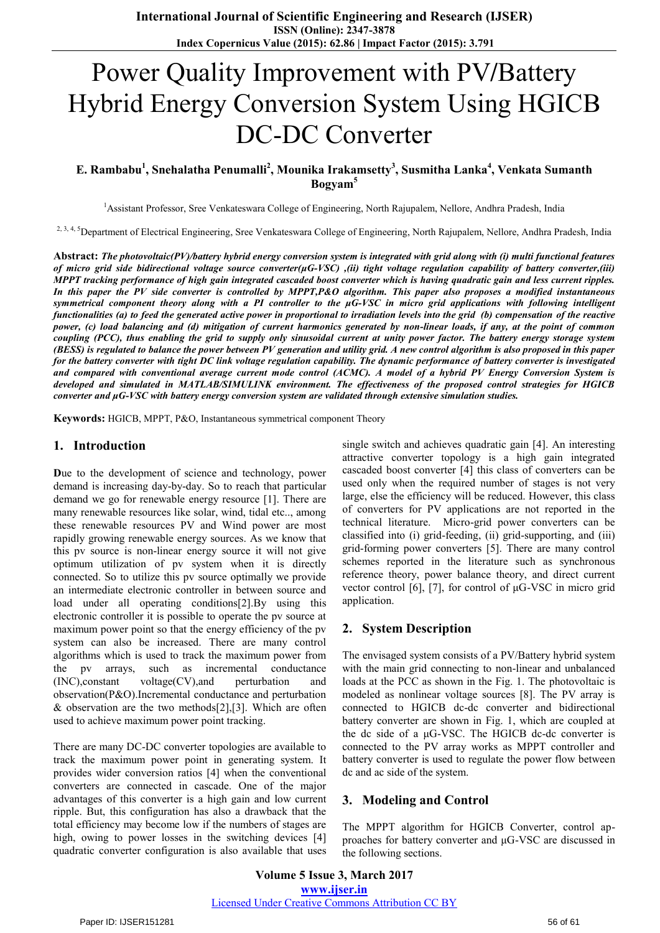# Power Quality Improvement with PV**/**Battery Hybrid Energy Conversion System Using HGICB DC-DC Converter

## **E. Rambabu<sup>1</sup> , Snehalatha Penumalli<sup>2</sup> , Mounika Irakamsetty<sup>3</sup> , Susmitha Lanka<sup>4</sup> , Venkata Sumanth Bogyam<sup>5</sup>**

<sup>1</sup>Assistant Professor, Sree Venkateswara College of Engineering, North Rajupalem, Nellore, Andhra Pradesh, India

<sup>2, 3, 4, 5</sup>Department of Electrical Engineering, Sree Venkateswara College of Engineering, North Rajupalem, Nellore, Andhra Pradesh, India

**Abstract:** *The photovoltaic(PV)/battery hybrid energy conversion system is integrated with grid along with (i) multi functional features of micro grid side bidirectional voltage source converter(μG-VSC) ,(ii) tight voltage regulation capability of battery converter,(iii) MPPT tracking performance of high gain integrated cascaded boost converter which is having quadratic gain and less current ripples. In this paper the PV side converter is controlled by MPPT,P&O algorithm. This paper also proposes a modified instantaneous symmetrical component theory along with a PI controller to the μG-VSC in micro grid applications with following intelligent functionalities (a) to feed the generated active power in proportional to irradiation levels into the grid (b) compensation of the reactive power, (c) load balancing and (d) mitigation of current harmonics generated by non-linear loads, if any, at the point of common coupling (PCC), thus enabling the grid to supply only sinusoidal current at unity power factor. The battery energy storage system (BESS) is regulated to balance the power between PV generation and utility grid. A new control algorithm is also proposed in this paper for the battery converter with tight DC link voltage regulation capability. The dynamic performance of battery converter is investigated and compared with conventional average current mode control (ACMC). A model of a hybrid PV Energy Conversion System is developed and simulated in MATLAB/SIMULINK environment. The effectiveness of the proposed control strategies for HGICB converter and μG-VSC with battery energy conversion system are validated through extensive simulation studies.* 

**Keywords:** HGICB, MPPT, P&O, Instantaneous symmetrical component Theory

## **1. Introduction**

**D**ue to the development of science and technology, power demand is increasing day-by-day. So to reach that particular demand we go for renewable energy resource [1]. There are many renewable resources like solar, wind, tidal etc.., among these renewable resources PV and Wind power are most rapidly growing renewable energy sources. As we know that this pv source is non-linear energy source it will not give optimum utilization of pv system when it is directly connected. So to utilize this pv source optimally we provide an intermediate electronic controller in between source and load under all operating conditions[2].By using this electronic controller it is possible to operate the pv source at maximum power point so that the energy efficiency of the pv system can also be increased. There are many control algorithms which is used to track the maximum power from the pv arrays, such as incremental conductance (INC),constant voltage(CV),and perturbation and observation(P&O).Incremental conductance and perturbation & observation are the two methods $[2]$ ,  $[3]$ . Which are often used to achieve maximum power point tracking.

There are many DC-DC converter topologies are available to track the maximum power point in generating system. It provides wider conversion ratios [4] when the conventional converters are connected in cascade. One of the major advantages of this converter is a high gain and low current ripple. But, this configuration has also a drawback that the total efficiency may become low if the numbers of stages are high, owing to power losses in the switching devices [4] quadratic converter configuration is also available that uses

single switch and achieves quadratic gain [4]. An interesting attractive converter topology is a high gain integrated cascaded boost converter [4] this class of converters can be used only when the required number of stages is not very large, else the efficiency will be reduced. However, this class of converters for PV applications are not reported in the technical literature. Micro-grid power converters can be classified into (i) grid-feeding, (ii) grid-supporting, and (iii) grid-forming power converters [5]. There are many control schemes reported in the literature such as synchronous reference theory, power balance theory, and direct current vector control [6], [7], for control of μG-VSC in micro grid application.

## **2. System Description**

The envisaged system consists of a PV/Battery hybrid system with the main grid connecting to non-linear and unbalanced loads at the PCC as shown in the Fig. 1. The photovoltaic is modeled as nonlinear voltage sources [8]. The PV array is connected to HGICB dc-dc converter and bidirectional battery converter are shown in Fig. 1, which are coupled at the dc side of a μG-VSC. The HGICB dc-dc converter is connected to the PV array works as MPPT controller and battery converter is used to regulate the power flow between dc and ac side of the system.

## **3. Modeling and Control**

The MPPT algorithm for HGICB Converter, control approaches for battery converter and μG-VSC are discussed in the following sections.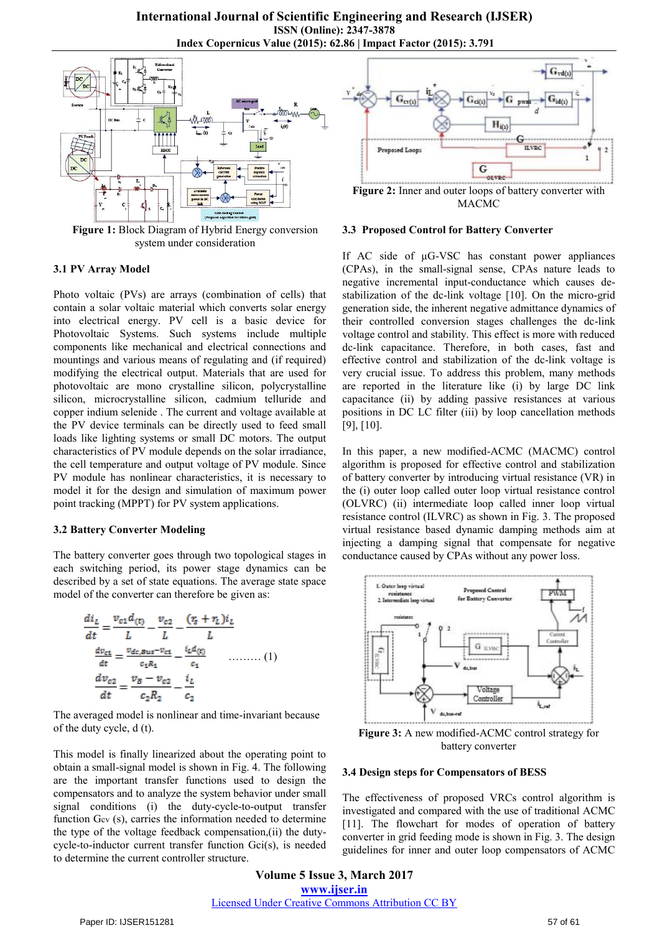

**Figure 1:** Block Diagram of Hybrid Energy conversion system under consideration

#### **3.1 PV Array Model**

Photo voltaic (PVs) are arrays (combination of cells) that contain a solar voltaic material which converts solar energy into electrical energy. PV cell is a basic device for Photovoltaic Systems. Such systems include multiple components like mechanical and electrical connections and mountings and various means of regulating and (if required) modifying the electrical output. Materials that are used for photovoltaic are mono crystalline silicon, polycrystalline silicon, microcrystalline silicon, cadmium telluride and copper indium selenide . The current and voltage available at the PV device terminals can be directly used to feed small loads like lighting systems or small DC motors. The output characteristics of PV module depends on the solar irradiance, the cell temperature and output voltage of PV module. Since PV module has nonlinear characteristics, it is necessary to model it for the design and simulation of maximum power point tracking (MPPT) for PV system applications.

#### **3.2 Battery Converter Modeling**

The battery converter goes through two topological stages in each switching period, its power stage dynamics can be described by a set of state equations. The average state space model of the converter can therefore be given as:

$$
\frac{di_L}{dt} = \frac{v_{c1}d_{(t)}}{L} - \frac{v_{c2}}{L} - \frac{(r_s + r_L)i_L}{L}
$$
\n
$$
\frac{dv_{c1}}{dt} = \frac{v_{dc, Bus} - v_{c1}}{c_1R_1} - \frac{i_Ld_{(t)}}{c_1} \qquad \qquad (1)
$$
\n
$$
\frac{dv_{c2}}{dt} = \frac{v_B - v_{c2}}{c_2R_2} - \frac{i_L}{c_2}
$$

The averaged model is nonlinear and time-invariant because of the duty cycle, d (t).

This model is finally linearized about the operating point to obtain a small-signal model is shown in Fig. 4. The following are the important transfer functions used to design the compensators and to analyze the system behavior under small signal conditions (i) the duty-cycle-to-output transfer function Gcv (s), carries the information needed to determine the type of the voltage feedback compensation,(ii) the dutycycle-to-inductor current transfer function Gci(s), is needed to determine the current controller structure.



MACMC

#### **3.3 Proposed Control for Battery Converter**

If AC side of μG-VSC has constant power appliances (CPAs), in the small-signal sense, CPAs nature leads to negative incremental input-conductance which causes destabilization of the dc-link voltage [10]. On the micro-grid generation side, the inherent negative admittance dynamics of their controlled conversion stages challenges the dc-link voltage control and stability. This effect is more with reduced dc-link capacitance. Therefore, in both cases, fast and effective control and stabilization of the dc-link voltage is very crucial issue. To address this problem, many methods are reported in the literature like (i) by large DC link capacitance (ii) by adding passive resistances at various positions in DC LC filter (iii) by loop cancellation methods [9], [10].

In this paper, a new modified-ACMC (MACMC) control algorithm is proposed for effective control and stabilization of battery converter by introducing virtual resistance (VR) in the (i) outer loop called outer loop virtual resistance control (OLVRC) (ii) intermediate loop called inner loop virtual resistance control (ILVRC) as shown in Fig. 3. The proposed virtual resistance based dynamic damping methods aim at injecting a damping signal that compensate for negative conductance caused by CPAs without any power loss.



**Figure 3:** A new modified-ACMC control strategy for battery converter

#### **3.4 Design steps for Compensators of BESS**

The effectiveness of proposed VRCs control algorithm is investigated and compared with the use of traditional ACMC [11]. The flowchart for modes of operation of battery converter in grid feeding mode is shown in Fig. 3. The design guidelines for inner and outer loop compensators of ACMC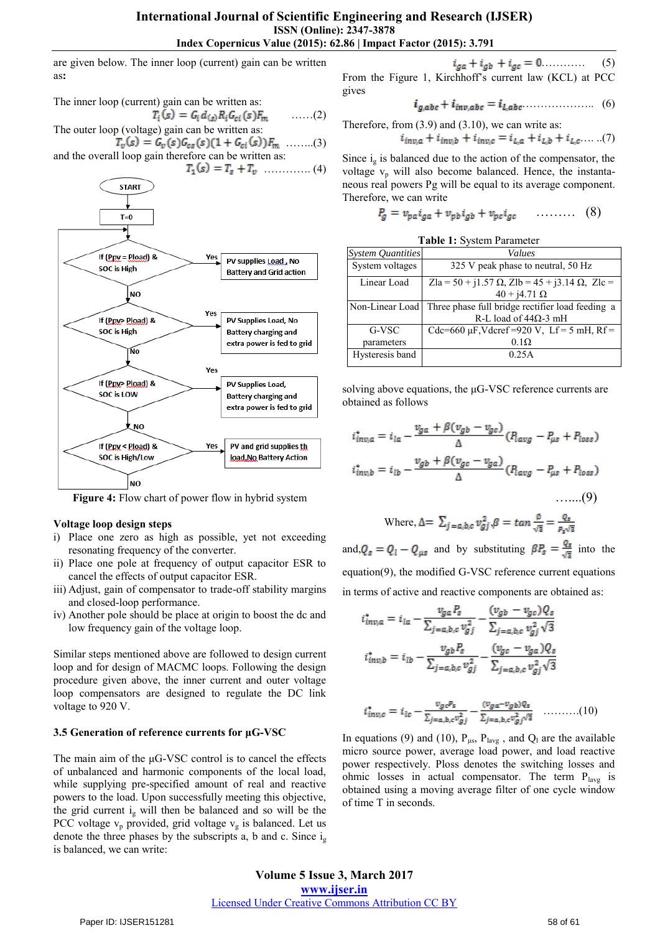are given below. The inner loop (current) gain can be written as**:** 

The inner loop (current) gain can be written as:

$$
T_i(s) = G_i d_{(s)} R_i G_{ci}(s) F_m \quad \dots (2)
$$
  
The outer loop (voltage) gain can be written as:  

$$
T_i(s) = G_i(s) G_i(s) A_i + G_i(s) F_m \quad (3)
$$

 $T_v(s) = G_v(s)G_{cs}(s)(1 + G_{ci}(s))F_m$  ......(3) and the overall loop gain therefore can be written as:



**Figure 4:** Flow chart of power flow in hybrid system

#### **Voltage loop design steps**

- i) Place one zero as high as possible, yet not exceeding resonating frequency of the converter.
- ii) Place one pole at frequency of output capacitor ESR to cancel the effects of output capacitor ESR.
- iii) Adjust, gain of compensator to trade-off stability margins and closed-loop performance.
- iv) Another pole should be place at origin to boost the dc and low frequency gain of the voltage loop.

Similar steps mentioned above are followed to design current loop and for design of MACMC loops. Following the design procedure given above, the inner current and outer voltage loop compensators are designed to regulate the DC link voltage to 920 V.

## **3.5 Generation of reference currents for μG-VSC**

The main aim of the μG-VSC control is to cancel the effects of unbalanced and harmonic components of the local load, while supplying pre-specified amount of real and reactive powers to the load. Upon successfully meeting this objective, the grid current  $i_{g}$  will then be balanced and so will be the PCC voltage  $v_p$  provided, grid voltage  $v_g$  is balanced. Let us denote the three phases by the subscripts a, b and c. Since  $i_{g}$ is balanced, we can write:

 $i_{ga} + i_{gb} + i_{gc} = 0$  ........... (5) From the Figure 1, Kirchhoff's current law (KCL) at PCC gives

$$
i_{g,abc} + i_{inv,abc} = i_{L,abc} \dots \dots \dots \dots \dots \quad (6)
$$

Therefore, from (3.9) and (3.10), we can write as:

$$
i_{inv,a} + i_{inv,b} + i_{inv,c} = i_{L,a} + i_{L,b} + i_{L,c} \dots (7)
$$

Since  $i_{g}$  is balanced due to the action of the compensator, the voltage  $v_p$  will also become balanced. Hence, the instantaneous real powers Pg will be equal to its average component. Therefore, we can write

$$
P_g = v_{pa} i_{ga} + v_{pb} i_{gb} + v_{pc} i_{gc} \qquad \qquad (8)
$$

| Table 1: System Parameter |
|---------------------------|
|---------------------------|

| <b>System Quantities</b> | Values                                                        |  |  |
|--------------------------|---------------------------------------------------------------|--|--|
| System voltages          | 325 V peak phase to neutral, 50 Hz                            |  |  |
| Linear Load              | Zla = 50 + j1.57 $\Omega$ , Zlb = 45 + j3.14 $\Omega$ , Zlc = |  |  |
|                          | $40 + i4.71 \Omega$                                           |  |  |
| Non-Linear Load          | Three phase full bridge rectifier load feeding a              |  |  |
|                          | R-L load of 44 $\Omega$ -3 mH                                 |  |  |
| G-VSC                    | Cdc=660 $\mu$ F, Vdcref =920 V, Lf = 5 mH, Rf =               |  |  |
| parameters               | $0.1\Omega$                                                   |  |  |
| Hysteresis band          | 0.25A                                                         |  |  |
|                          |                                                               |  |  |

solving above equations, the μG-VSC reference currents are obtained as follows

$$
i_{inv,a}^* = i_{la} - \frac{v_{ga} + \beta(v_{gb} - v_{gc})}{\Delta} (P_{avg} - P_{\mu s} + P_{loss})
$$
  

$$
i_{inv,b}^* = i_{lb} - \frac{v_{gb} + \beta(v_{gc} - v_{ga})}{\Delta} (P_{lavg} - P_{\mu s} + P_{loss})
$$
  
......(9)

Where, 
$$
\Delta = \sum_{j=a,b,c} v_{gj}^2
$$
,  $\beta = \tan \frac{\phi}{\sqrt{3}} = \frac{\varrho_s}{P_s\sqrt{3}}$ 

and,  $Q_s = Q_l - Q_{\mu s}$  and by substituting  $\beta P_s = \frac{Q_s}{\sqrt{2}}$  into the equation(9), the modified G-VSC reference current equations in terms of active and reactive components are obtained as:

$$
i_{inv,a}^* = i_{la} - \frac{v_{ga}P_s}{\sum_{j=a,b,c} v_{gj}^2} - \frac{(v_{gb} - v_{gc})Q_s}{\sum_{j=a,b,c} v_{gj}^2 \sqrt{3}}
$$

$$
i_{inv,b}^* = i_{lb} - \frac{v_{gb}P_s}{\sum_{j=a,b,c} v_{gj}^2} - \frac{(v_{gc} - v_{ga})Q_s}{\sum_{j=a,b,c} v_{gj}^2 \sqrt{3}}
$$

$$
i_{inv,c}^* = i_{lc} - \frac{v_{gc}v_{s}}{\sum_{j=a,b,c}v_{gj}^2} - \frac{(v_{ga} - v_{gb})\varrho_{s}}{\sum_{j=a,b,c}v_{gj}^2/\sqrt{3}} \quad \ldots \ldots \ldots (10)
$$

In equations (9) and (10),  $P_{\mu s}$ ,  $P_{\mu v g}$ , and  $Q_l$  are the available micro source power, average load power, and load reactive power respectively. Ploss denotes the switching losses and ohmic losses in actual compensator. The term  $P_{\text{layg}}$  is obtained using a moving average filter of one cycle window of time T in seconds.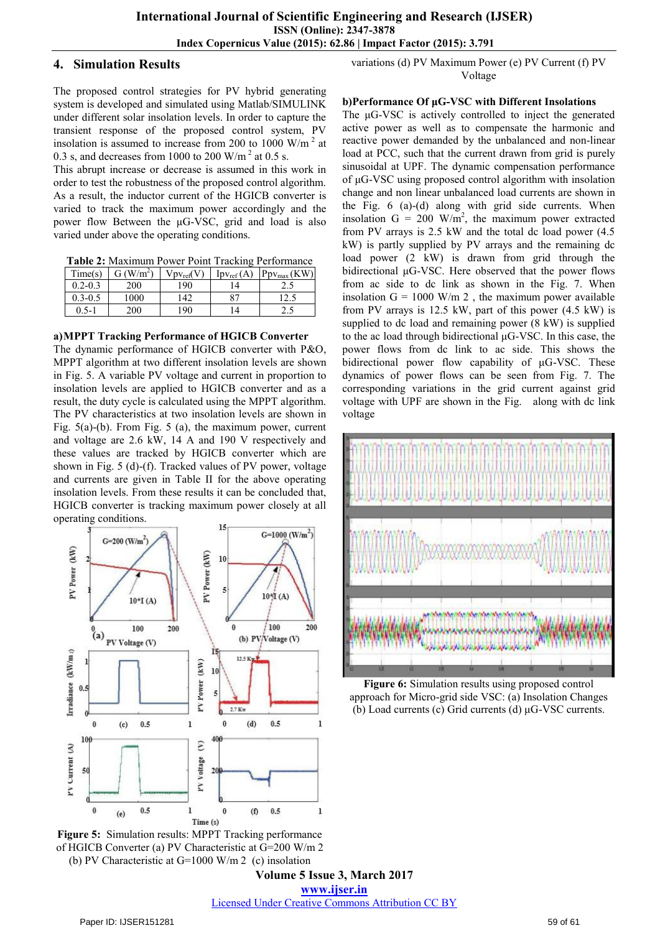## **4. Simulation Results**

The proposed control strategies for PV hybrid generating system is developed and simulated using Matlab/SIMULINK under different solar insolation levels. In order to capture the transient response of the proposed control system, PV insolation is assumed to increase from 200 to 1000 W/m<sup>2</sup> at 0.3 s, and decreases from 1000 to 200 W/m<sup>2</sup> at 0.5 s.

This abrupt increase or decrease is assumed in this work in order to test the robustness of the proposed control algorithm. As a result, the inductor current of the HGICB converter is varied to track the maximum power accordingly and the power flow Between the μG-VSC, grid and load is also varied under above the operating conditions.

**Table 2:** Maximum Power Point Tracking Performance

| Time(s)     | G (W/m <sup>2</sup> ) | $Vpv_{ref}(V)$ | $\text{Ipv}_{\text{ref}}(A)$ | $Ppv_{max}(KW)$ |
|-------------|-----------------------|----------------|------------------------------|-----------------|
| $0.2 - 0.3$ | 200                   | 190            |                              | ن . ک           |
| $0.3 - 0.5$ | 1000                  | 142            | 87                           | ن د که ۱        |
| $0.5 - 1$   | 200                   | 190            | 4                            | ب و گ           |

## **a)MPPT Tracking Performance of HGICB Converter**

The dynamic performance of HGICB converter with P&O, MPPT algorithm at two different insolation levels are shown in Fig. 5. A variable PV voltage and current in proportion to insolation levels are applied to HGICB converter and as a result, the duty cycle is calculated using the MPPT algorithm. The PV characteristics at two insolation levels are shown in Fig. 5(a)-(b). From Fig. 5 (a), the maximum power, current and voltage are 2.6 kW, 14 A and 190 V respectively and these values are tracked by HGICB converter which are shown in Fig. 5 (d)-(f). Tracked values of PV power, voltage and currents are given in Table II for the above operating insolation levels. From these results it can be concluded that, HGICB converter is tracking maximum power closely at all operating conditions.



**Figure 5:** Simulation results: MPPT Tracking performance of HGICB Converter (a) PV Characteristic at G=200 W/m 2 (b) PV Characteristic at  $G=1000$  W/m 2 (c) insolation

variations (d) PV Maximum Power (e) PV Current (f) PV Voltage

## **b)Performance Of μG-VSC with Different Insolations**

The μG-VSC is actively controlled to inject the generated active power as well as to compensate the harmonic and reactive power demanded by the unbalanced and non-linear load at PCC, such that the current drawn from grid is purely sinusoidal at UPF. The dynamic compensation performance of μG-VSC using proposed control algorithm with insolation change and non linear unbalanced load currents are shown in the Fig. 6 (a)-(d) along with grid side currents. When insolation  $G = 200$  W/m<sup>2</sup>, the maximum power extracted from PV arrays is 2.5 kW and the total dc load power (4.5 kW) is partly supplied by PV arrays and the remaining dc load power (2 kW) is drawn from grid through the bidirectional μG-VSC. Here observed that the power flows from ac side to dc link as shown in the Fig. 7. When insolation  $G = 1000$  W/m 2, the maximum power available from PV arrays is 12.5 kW, part of this power (4.5 kW) is supplied to dc load and remaining power (8 kW) is supplied to the ac load through bidirectional μG-VSC. In this case, the power flows from dc link to ac side. This shows the bidirectional power flow capability of μG-VSC. These dynamics of power flows can be seen from Fig. 7. The corresponding variations in the grid current against grid voltage with UPF are shown in the Fig. along with dc link voltage



**Figure 6:** Simulation results using proposed control approach for Micro-grid side VSC: (a) Insolation Changes (b) Load currents (c) Grid currents (d) μG-VSC currents.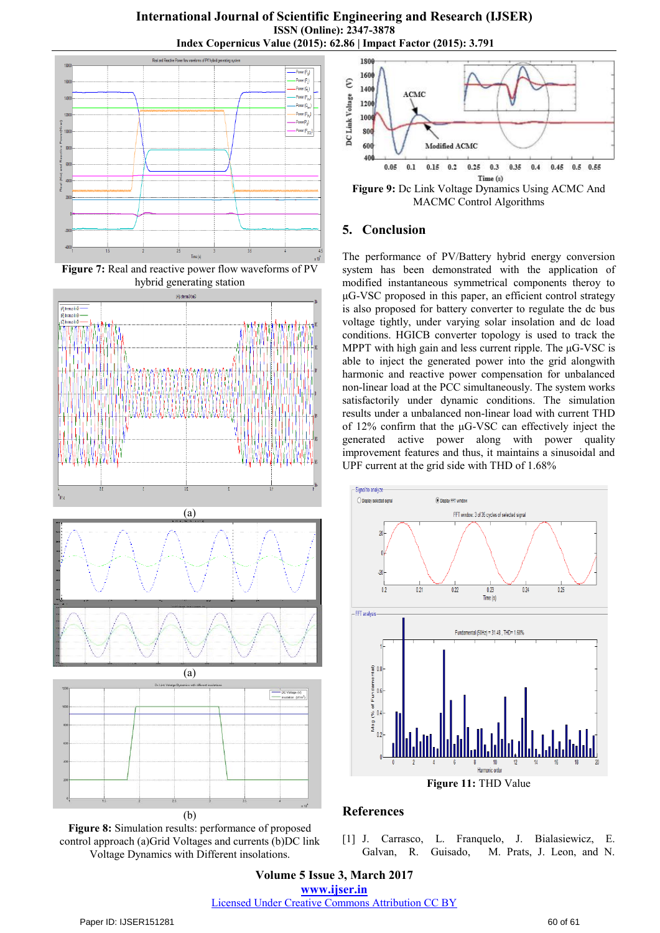**International Journal of Scientific Engineering and Research (IJSER) ISSN (Online): 2347-3878 Index Copernicus Value (2015): 62.86 | Impact Factor (2015): 3.791**



**Figure 7:** Real and reactive power flow waveforms of PV hybrid generating station







**Figure 8:** Simulation results: performance of proposed control approach (a)Grid Voltages and currents (b)DC link Voltage Dynamics with Different insolations.



**Figure 9:** Dc Link Voltage Dynamics Using ACMC And MACMC Control Algorithms

## **5. Conclusion**

The performance of PV/Battery hybrid energy conversion system has been demonstrated with the application of modified instantaneous symmetrical components theroy to μG-VSC proposed in this paper, an efficient control strategy is also proposed for battery converter to regulate the dc bus voltage tightly, under varying solar insolation and dc load conditions. HGICB converter topology is used to track the MPPT with high gain and less current ripple. The μG-VSC is able to inject the generated power into the grid alongwith harmonic and reactive power compensation for unbalanced non-linear load at the PCC simultaneously. The system works satisfactorily under dynamic conditions. The simulation results under a unbalanced non-linear load with current THD of 12% confirm that the μG-VSC can effectively inject the generated active power along with power quality improvement features and thus, it maintains a sinusoidal and UPF current at the grid side with THD of 1.68%



## **References**

[1] J. Carrasco, L. Franquelo, J. Bialasiewicz, E. Galvan, R. Guisado, M. Prats, J. Leon, and N.